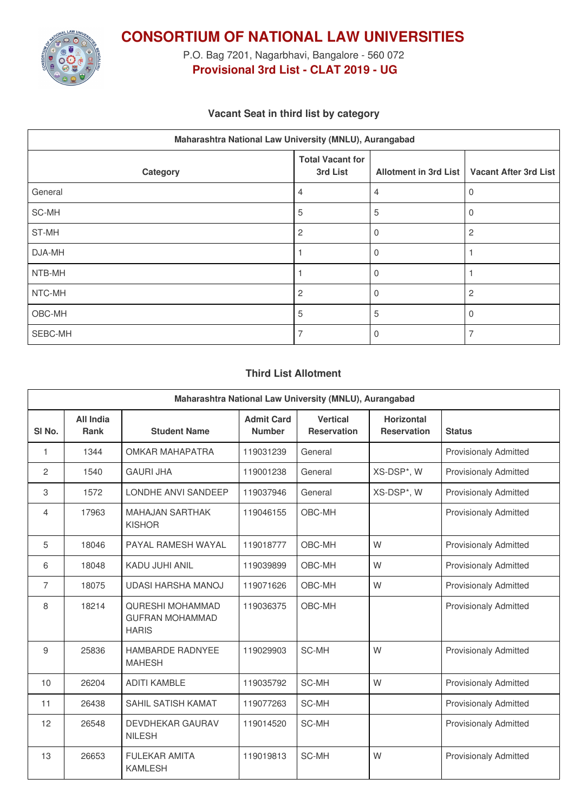

**CONSORTIUM OF NATIONAL LAW UNIVERSITIES**

P.O. Bag 7201, Nagarbhavi, Bangalore - 560 072 **Provisional 3rd List - CLAT 2019 - UG**

### **Vacant Seat in third list by category**

| Maharashtra National Law University (MNLU), Aurangabad |                                     |                              |                              |  |  |
|--------------------------------------------------------|-------------------------------------|------------------------------|------------------------------|--|--|
| Category                                               | <b>Total Vacant for</b><br>3rd List | <b>Allotment in 3rd List</b> | <b>Vacant After 3rd List</b> |  |  |
| General                                                | 4                                   | 4                            | 0                            |  |  |
| SC-MH                                                  | 5                                   | 5                            |                              |  |  |
| ST-MH                                                  | 2                                   | Ω                            | 2                            |  |  |
| DJA-MH                                                 |                                     |                              |                              |  |  |
| NTB-MH                                                 |                                     | 0                            |                              |  |  |
| NTC-MH                                                 | $\overline{c}$                      |                              | $\overline{c}$               |  |  |
| OBC-MH                                                 | 5                                   | 5                            | 0                            |  |  |
| SEBC-MH                                                |                                     |                              |                              |  |  |

#### **Third List Allotment**

| Maharashtra National Law University (MNLU), Aurangabad |                   |                                                                   |                                    |                                       |                                         |                              |
|--------------------------------------------------------|-------------------|-------------------------------------------------------------------|------------------------------------|---------------------------------------|-----------------------------------------|------------------------------|
| SI <sub>No.</sub>                                      | All India<br>Rank | <b>Student Name</b>                                               | <b>Admit Card</b><br><b>Number</b> | <b>Vertical</b><br><b>Reservation</b> | <b>Horizontal</b><br><b>Reservation</b> | <b>Status</b>                |
| 1                                                      | 1344              | OMKAR MAHAPATRA                                                   | 119031239                          | General                               |                                         | <b>Provisionaly Admitted</b> |
| $\mathbf{2}$                                           | 1540              | <b>GAURI JHA</b>                                                  | 119001238                          | General                               | XS-DSP*, W                              | <b>Provisionaly Admitted</b> |
| 3                                                      | 1572              | LONDHE ANVI SANDEEP                                               | 119037946                          | General                               | XS-DSP*, W                              | <b>Provisionaly Admitted</b> |
| 4                                                      | 17963             | <b>MAHAJAN SARTHAK</b><br><b>KISHOR</b>                           | 119046155                          | OBC-MH                                |                                         | <b>Provisionaly Admitted</b> |
| 5                                                      | 18046             | PAYAL RAMESH WAYAL                                                | 119018777                          | OBC-MH                                | W                                       | <b>Provisionaly Admitted</b> |
| 6                                                      | 18048             | <b>KADU JUHI ANIL</b>                                             | 119039899                          | OBC-MH                                | W                                       | <b>Provisionaly Admitted</b> |
| 7                                                      | 18075             | <b>UDASI HARSHA MANOJ</b>                                         | 119071626                          | OBC-MH                                | W                                       | <b>Provisionaly Admitted</b> |
| 8                                                      | 18214             | <b>QURESHI MOHAMMAD</b><br><b>GUFRAN MOHAMMAD</b><br><b>HARIS</b> | 119036375                          | OBC-MH                                |                                         | <b>Provisionaly Admitted</b> |
| 9                                                      | 25836             | HAMBARDE RADNYEE<br><b>MAHESH</b>                                 | 119029903                          | SC-MH                                 | W                                       | <b>Provisionaly Admitted</b> |
| 10                                                     | 26204             | <b>ADITI KAMBLE</b>                                               | 119035792                          | SC-MH                                 | W                                       | <b>Provisionaly Admitted</b> |
| 11                                                     | 26438             | SAHIL SATISH KAMAT                                                | 119077263                          | SC-MH                                 |                                         | <b>Provisionaly Admitted</b> |
| 12                                                     | 26548             | <b>DEVDHEKAR GAURAV</b><br><b>NILESH</b>                          | 119014520                          | SC-MH                                 |                                         | <b>Provisionaly Admitted</b> |
| 13                                                     | 26653             | <b>FULEKAR AMITA</b><br><b>KAMLESH</b>                            | 119019813                          | SC-MH                                 | W                                       | <b>Provisionaly Admitted</b> |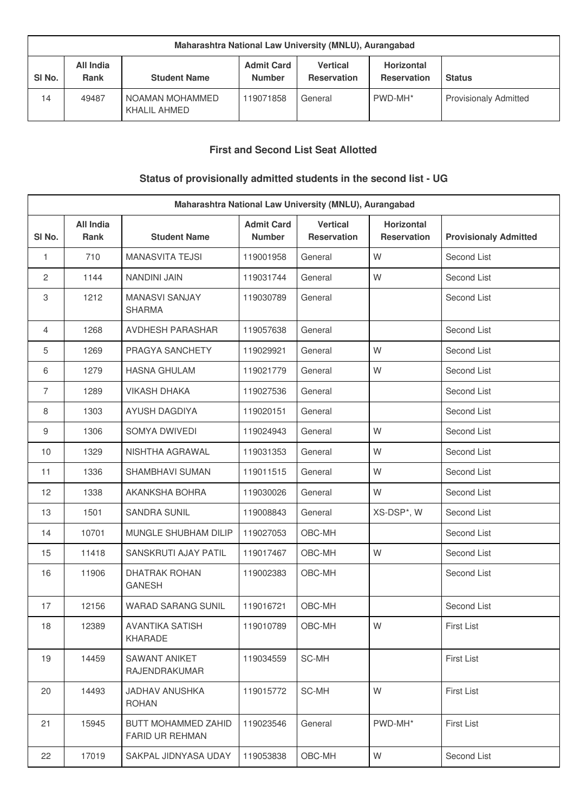| Maharashtra National Law University (MNLU), Aurangabad |                          |                                   |                                    |                                       |                                         |                              |
|--------------------------------------------------------|--------------------------|-----------------------------------|------------------------------------|---------------------------------------|-----------------------------------------|------------------------------|
| SI No.                                                 | All India<br><b>Rank</b> | <b>Student Name</b>               | <b>Admit Card</b><br><b>Number</b> | <b>Vertical</b><br><b>Reservation</b> | <b>Horizontal</b><br><b>Reservation</b> | <b>Status</b>                |
| 14                                                     | 49487                    | I NOAMAN MOHAMMED<br>KHALIL AHMED | 119071858                          | General                               | PWD-MH*                                 | <b>Provisionaly Admitted</b> |

## **First and Second List Seat Allotted**

# **Status of provisionally admitted students in the second list - UG**

| Maharashtra National Law University (MNLU), Aurangabad |                                 |                                               |                                    |                                |                                         |                              |
|--------------------------------------------------------|---------------------------------|-----------------------------------------------|------------------------------------|--------------------------------|-----------------------------------------|------------------------------|
| SI No.                                                 | <b>All India</b><br><b>Rank</b> | <b>Student Name</b>                           | <b>Admit Card</b><br><b>Number</b> | <b>Vertical</b><br>Reservation | <b>Horizontal</b><br><b>Reservation</b> | <b>Provisionaly Admitted</b> |
| 1                                                      | 710                             | <b>MANASVITA TEJSI</b>                        | 119001958                          | General                        | W                                       | Second List                  |
| $\mathbf{2}$                                           | 1144                            | <b>NANDINI JAIN</b>                           | 119031744                          | General                        | W                                       | Second List                  |
| 3                                                      | 1212                            | <b>MANASVI SANJAY</b><br><b>SHARMA</b>        | 119030789                          | General                        |                                         | Second List                  |
| $\overline{4}$                                         | 1268                            | <b>AVDHESH PARASHAR</b>                       | 119057638                          | General                        |                                         | Second List                  |
| 5                                                      | 1269                            | PRAGYA SANCHETY                               | 119029921                          | General                        | W                                       | Second List                  |
| 6                                                      | 1279                            | <b>HASNA GHULAM</b>                           | 119021779                          | General                        | W                                       | Second List                  |
| $\overline{7}$                                         | 1289                            | <b>VIKASH DHAKA</b>                           | 119027536                          | General                        |                                         | Second List                  |
| 8                                                      | 1303                            | <b>AYUSH DAGDIYA</b>                          | 119020151                          | General                        |                                         | Second List                  |
| 9                                                      | 1306                            | SOMYA DWIVEDI                                 | 119024943                          | General                        | W                                       | Second List                  |
| 10                                                     | 1329                            | NISHTHA AGRAWAL                               | 119031353                          | General                        | W                                       | Second List                  |
| 11                                                     | 1336                            | <b>SHAMBHAVI SUMAN</b>                        | 119011515                          | General                        | W                                       | Second List                  |
| 12                                                     | 1338                            | AKANKSHA BOHRA                                | 119030026                          | General                        | W                                       | Second List                  |
| 13                                                     | 1501                            | <b>SANDRA SUNIL</b>                           | 119008843                          | General                        | XS-DSP*, W                              | Second List                  |
| 14                                                     | 10701                           | MUNGLE SHUBHAM DILIP                          | 119027053                          | OBC-MH                         |                                         | Second List                  |
| 15                                                     | 11418                           | SANSKRUTI AJAY PATIL                          | 119017467                          | OBC-MH                         | W                                       | Second List                  |
| 16                                                     | 11906                           | <b>DHATRAK ROHAN</b><br><b>GANESH</b>         | 119002383                          | OBC-MH                         |                                         | Second List                  |
| 17                                                     | 12156                           | <b>WARAD SARANG SUNIL</b>                     | 119016721                          | OBC-MH                         |                                         | Second List                  |
| 18                                                     | 12389                           | AVANTIKA SATISH<br>KHARADE                    | 119010789                          | OBC-MH                         | W                                       | First List                   |
| 19                                                     | 14459                           | <b>SAWANT ANIKET</b><br><b>RAJENDRAKUMAR</b>  | 119034559                          | SC-MH                          |                                         | <b>First List</b>            |
| 20                                                     | 14493                           | <b>JADHAV ANUSHKA</b><br><b>ROHAN</b>         | 119015772                          | SC-MH                          | W                                       | <b>First List</b>            |
| 21                                                     | 15945                           | BUTT MOHAMMED ZAHID<br><b>FARID UR REHMAN</b> | 119023546                          | General                        | PWD-MH*                                 | <b>First List</b>            |
| 22                                                     | 17019                           | SAKPAL JIDNYASA UDAY                          | 119053838                          | OBC-MH                         | W                                       | Second List                  |